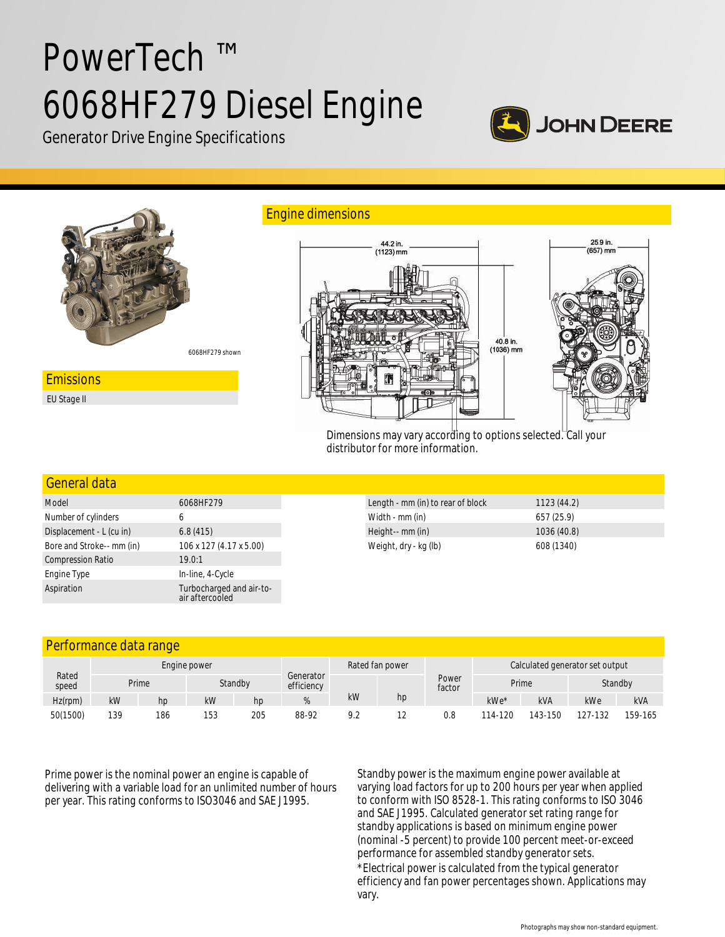# PowerTech ™ 6068HF279 Diesel Engine



Generator Drive Engine Specifications



Dimensions may vary according to options selected. Call your distributor for more information.

#### General data

| Model                     | 6068HF279                                   |
|---------------------------|---------------------------------------------|
| Number of cylinders       | 6                                           |
| Displacement - L (cu in)  | 6.8(415)                                    |
| Bore and Stroke-- mm (in) | 106 x 127 (4.17 x 5.00)                     |
| <b>Compression Ratio</b>  | 19.0:1                                      |
| Engine Type               | In-line, 4-Cycle                            |
| Aspiration                | Turbocharged and air-to-<br>air aftercooled |

| Length - mm (in) to rear of block | 1123(44.2)  |  |
|-----------------------------------|-------------|--|
| Width - mm (in)                   | 657 (25.9)  |  |
| Height-- mm (in)                  | 1036 (40.8) |  |
| Weight, dry - kg (lb)             | 608 (1340)  |  |

## Performance data range

| Rated<br>speed | Engine power |       |     |         | Rated fan power         |     | Calculated generator set output |                 |        |            |         |            |
|----------------|--------------|-------|-----|---------|-------------------------|-----|---------------------------------|-----------------|--------|------------|---------|------------|
|                |              | Prime |     | Standby | Generator<br>efficiency |     |                                 | Power<br>factor | Prime  |            | Standby |            |
| Hz(rpm)        | kW           | hp    | kW  | hp      |                         | kW  | hp                              |                 | kWe*   | <b>kVA</b> | kWe     | <b>kVA</b> |
| 50(1500)       | 139          | 186   | 153 | 205     | 88-92                   | 9.2 |                                 | 0.8             | 14-120 | 143-150    | 127-132 | 159-165    |

Prime power is the nominal power an engine is capable of delivering with a variable load for an unlimited number of hours per year. This rating conforms to ISO3046 and SAE J1995.

Standby power is the maximum engine power available at varying load factors for up to 200 hours per year when applied to conform with ISO 8528-1. This rating conforms to ISO 3046 and SAE J1995. Calculated generator set rating range for standby applications is based on minimum engine power (nominal -5 percent) to provide 100 percent meet-or-exceed performance for assembled standby generator sets.

\*Electrical power is calculated from the typical generator efficiency and fan power percentages shown. Applications may vary.